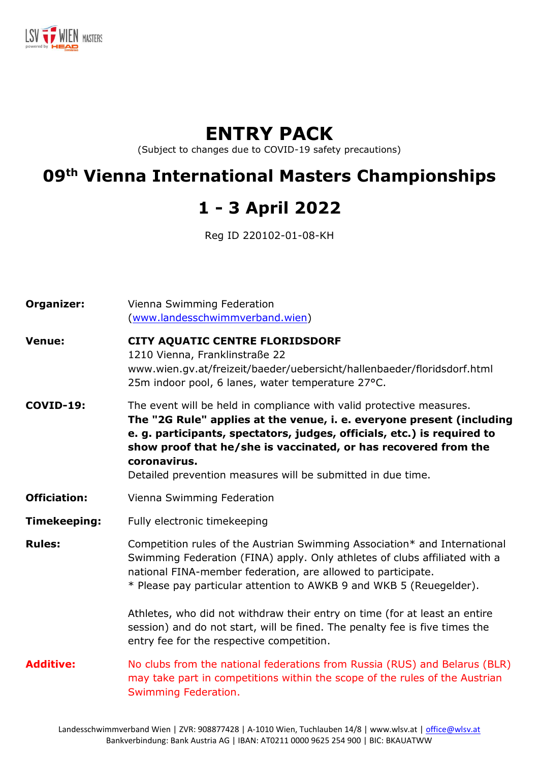

# **ENTRY PACK**

(Subject to changes due to COVID-19 safety precautions)

# **09th Vienna International Masters Championships**

# **1 - 3 April 2022**

Reg ID 220102-01-08-KH

| Organizer:          | Vienna Swimming Federation<br>(www.landesschwimmverband.wien)                                                                                                                                                                                                                                                                                                                                                                                               |
|---------------------|-------------------------------------------------------------------------------------------------------------------------------------------------------------------------------------------------------------------------------------------------------------------------------------------------------------------------------------------------------------------------------------------------------------------------------------------------------------|
| <b>Venue:</b>       | CITY AQUATIC CENTRE FLORIDSDORF<br>1210 Vienna, Franklinstraße 22<br>www.wien.gv.at/freizeit/baeder/uebersicht/hallenbaeder/floridsdorf.html<br>25m indoor pool, 6 lanes, water temperature 27°C.                                                                                                                                                                                                                                                           |
| <b>COVID-19:</b>    | The event will be held in compliance with valid protective measures.<br>The "2G Rule" applies at the venue, i. e. everyone present (including<br>e. g. participants, spectators, judges, officials, etc.) is required to<br>show proof that he/she is vaccinated, or has recovered from the<br>coronavirus.<br>Detailed prevention measures will be submitted in due time.                                                                                  |
| <b>Officiation:</b> | Vienna Swimming Federation                                                                                                                                                                                                                                                                                                                                                                                                                                  |
| <b>Timekeeping:</b> | Fully electronic timekeeping                                                                                                                                                                                                                                                                                                                                                                                                                                |
| <b>Rules:</b>       | Competition rules of the Austrian Swimming Association* and International<br>Swimming Federation (FINA) apply. Only athletes of clubs affiliated with a<br>national FINA-member federation, are allowed to participate.<br>* Please pay particular attention to AWKB 9 and WKB 5 (Reuegelder).<br>Athletes, who did not withdraw their entry on time (for at least an entire<br>session) and do not start, will be fined. The penalty fee is five times the |
|                     | entry fee for the respective competition.                                                                                                                                                                                                                                                                                                                                                                                                                   |
| <b>Additive:</b>    | No clubs from the national federations from Russia (RUS) and Belarus (BLR)<br>may take part in competitions within the scope of the rules of the Austrian<br>Swimming Federation.                                                                                                                                                                                                                                                                           |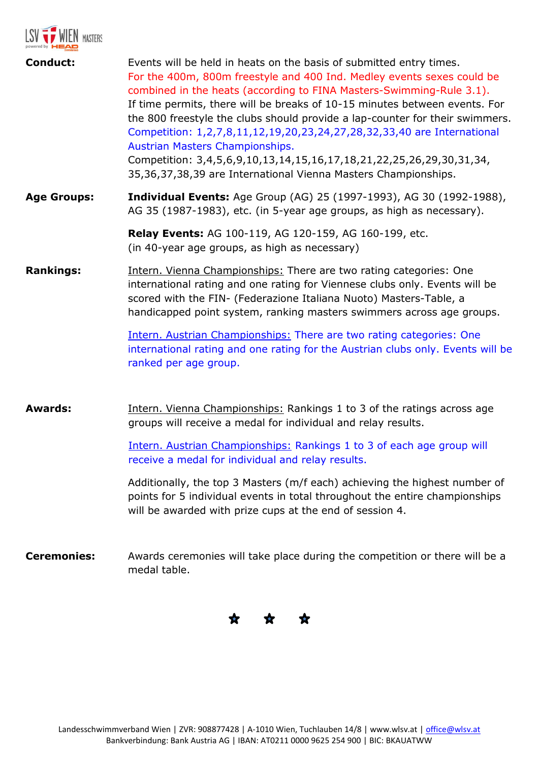

| <b>Conduct:</b>    | Events will be held in heats on the basis of submitted entry times.<br>For the 400m, 800m freestyle and 400 Ind. Medley events sexes could be<br>combined in the heats (according to FINA Masters-Swimming-Rule 3.1).<br>If time permits, there will be breaks of 10-15 minutes between events. For<br>the 800 freestyle the clubs should provide a lap-counter for their swimmers.<br>Competition: 1,2,7,8,11,12,19,20,23,24,27,28,32,33,40 are International<br>Austrian Masters Championships.<br>Competition: 3,4,5,6,9,10,13,14,15,16,17,18,21,22,25,26,29,30,31,34, |
|--------------------|---------------------------------------------------------------------------------------------------------------------------------------------------------------------------------------------------------------------------------------------------------------------------------------------------------------------------------------------------------------------------------------------------------------------------------------------------------------------------------------------------------------------------------------------------------------------------|
|                    | 35,36,37,38,39 are International Vienna Masters Championships.                                                                                                                                                                                                                                                                                                                                                                                                                                                                                                            |
| <b>Age Groups:</b> | <b>Individual Events:</b> Age Group (AG) 25 (1997-1993), AG 30 (1992-1988),<br>AG 35 (1987-1983), etc. (in 5-year age groups, as high as necessary).                                                                                                                                                                                                                                                                                                                                                                                                                      |
|                    | Relay Events: AG 100-119, AG 120-159, AG 160-199, etc.<br>(in 40-year age groups, as high as necessary)                                                                                                                                                                                                                                                                                                                                                                                                                                                                   |
| <b>Rankings:</b>   | Intern. Vienna Championships: There are two rating categories: One<br>international rating and one rating for Viennese clubs only. Events will be<br>scored with the FIN- (Federazione Italiana Nuoto) Masters-Table, a<br>handicapped point system, ranking masters swimmers across age groups.<br>Intern. Austrian Championships: There are two rating categories: One<br>international rating and one rating for the Austrian clubs only. Events will be<br>ranked per age group.                                                                                      |
| <b>Awards:</b>     | Intern. Vienna Championships: Rankings 1 to 3 of the ratings across age<br>groups will receive a medal for individual and relay results.                                                                                                                                                                                                                                                                                                                                                                                                                                  |
|                    | Intern. Austrian Championships: Rankings 1 to 3 of each age group will<br>receive a medal for individual and relay results.                                                                                                                                                                                                                                                                                                                                                                                                                                               |
|                    | Additionally, the top 3 Masters (m/f each) achieving the highest number of<br>points for 5 individual events in total throughout the entire championships<br>will be awarded with prize cups at the end of session 4.                                                                                                                                                                                                                                                                                                                                                     |
| <b>Ceremonies:</b> | Awards ceremonies will take place during the competition or there will be a<br>medal table.                                                                                                                                                                                                                                                                                                                                                                                                                                                                               |

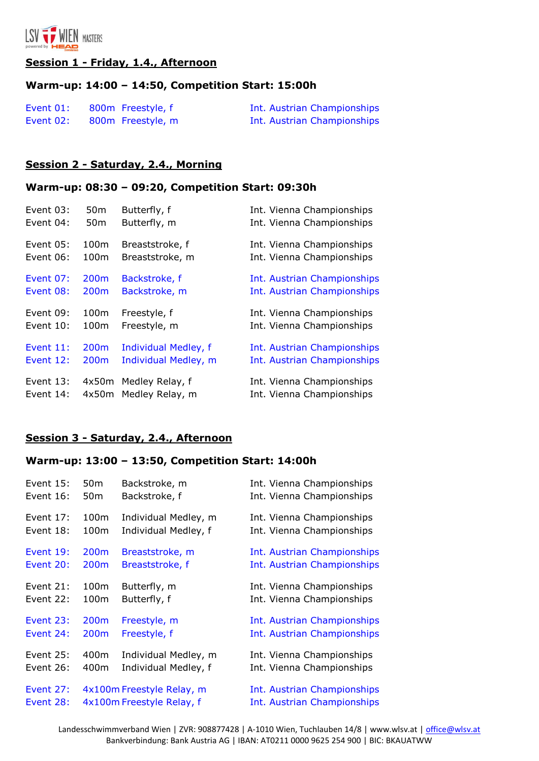

#### **Session 1 - Friday, 1.4., Afternoon**

### **Warm-up: 14:00 – 14:50, Competition Start: 15:00h**

| Event 01: | 800m Freestyle, f | Int. Austrian Championships |
|-----------|-------------------|-----------------------------|
| Event 02: | 800m Freestyle, m | Int. Austrian Championships |

#### **Session 2 - Saturday, 2.4., Morning**

### **Warm-up: 08:30 – 09:20, Competition Start: 09:30h**

| Event $03$ : | 50 <sub>m</sub>  | Butterfly, f         | Int. Vienna Championships   |
|--------------|------------------|----------------------|-----------------------------|
| Event 04:    | 50 <sub>m</sub>  | Butterfly, m         | Int. Vienna Championships   |
| Event 05:    | 100m             | Breaststroke, f      | Int. Vienna Championships   |
| Event $06$ : | 100m             | Breaststroke, m      | Int. Vienna Championships   |
| Event 07:    | 200 <sub>m</sub> | Backstroke, f        | Int. Austrian Championships |
| Event 08:    | 200 <sub>m</sub> | Backstroke, m        | Int. Austrian Championships |
| Event 09:    | 100m             | Freestyle, f         | Int. Vienna Championships   |
| Event $10:$  | 100m             | Freestyle, m         | Int. Vienna Championships   |
| Event $11$ : | 200 <sub>m</sub> | Individual Medley, f | Int. Austrian Championships |
| Event 12:    | 200 <sub>m</sub> | Individual Medley, m | Int. Austrian Championships |
| Event $13:$  | 4x50m            | Medley Relay, f      | Int. Vienna Championships   |
| Event 14:    | 4x50m            | Medley Relay, m      | Int. Vienna Championships   |

#### **Session 3 - Saturday, 2.4., Afternoon**

## **Warm-up: 13:00 – 13:50, Competition Start: 14:00h**

| Event $15$ :     | 50 <sub>m</sub>  | Backstroke, m             | Int. Vienna Championships   |
|------------------|------------------|---------------------------|-----------------------------|
| Event 16:        | 50m              | Backstroke, f             | Int. Vienna Championships   |
| Event 17:        | 100m             | Individual Medley, m      | Int. Vienna Championships   |
| Event 18:        | 100m             | Individual Medley, f      | Int. Vienna Championships   |
| <b>Event 19:</b> | 200 <sub>m</sub> | Breaststroke, m           | Int. Austrian Championships |
| Event 20:        | 200 <sub>m</sub> | Breaststroke, f           | Int. Austrian Championships |
| Event 21:        | 100m             | Butterfly, m              | Int. Vienna Championships   |
| Event 22:        | 100m             | Butterfly, f              | Int. Vienna Championships   |
| Event 23:        | 200 <sub>m</sub> | Freestyle, m              | Int. Austrian Championships |
| Event 24:        | 200m             | Freestyle, f              | Int. Austrian Championships |
| Event 25:        | 400m             | Individual Medley, m      | Int. Vienna Championships   |
| Event 26:        | 400m             | Individual Medley, f      | Int. Vienna Championships   |
| Event 27:        |                  | 4x100m Freestyle Relay, m | Int. Austrian Championships |
| Event 28:        |                  | 4x100m Freestyle Relay, f | Int. Austrian Championships |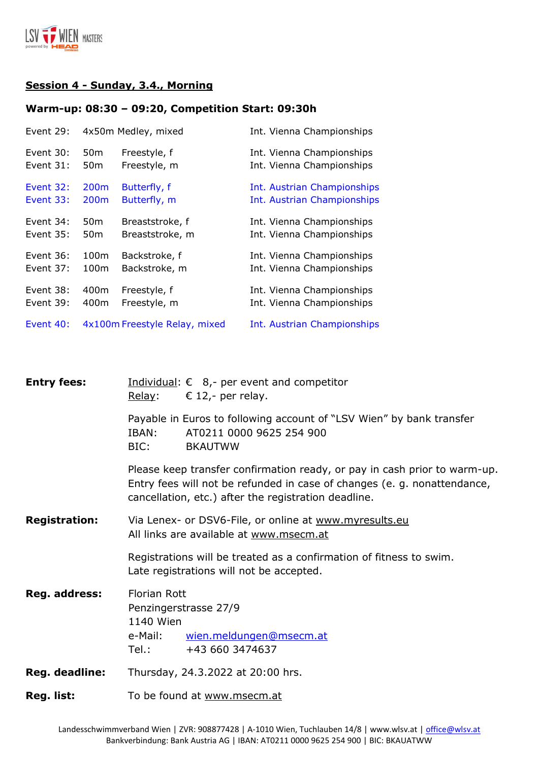

## **Session 4 - Sunday, 3.4., Morning**

### **Warm-up: 08:30 – 09:20, Competition Start: 09:30h**

| Event 29:   |                  | 4x50m Medley, mixed           | Int. Vienna Championships   |
|-------------|------------------|-------------------------------|-----------------------------|
| Event $30:$ | 50 <sub>m</sub>  | Freestyle, f                  | Int. Vienna Championships   |
| Event 31:   | 50 <sub>m</sub>  | Freestyle, m                  | Int. Vienna Championships   |
| Event $32:$ | 200 <sub>m</sub> | Butterfly, f                  | Int. Austrian Championships |
| Event $33:$ | 200 <sub>m</sub> | Butterfly, m                  | Int. Austrian Championships |
| Event 34:   | 50 <sub>m</sub>  | Breaststroke, f               | Int. Vienna Championships   |
| Event $35:$ | 50 <sub>m</sub>  | Breaststroke, m               | Int. Vienna Championships   |
| Event $36:$ | 100m             | Backstroke, f                 | Int. Vienna Championships   |
| Event $37:$ | 100m             | Backstroke, m                 | Int. Vienna Championships   |
| Event $38:$ | 400m             | Freestyle, f                  | Int. Vienna Championships   |
| Event 39:   | 400m             | Freestyle, m                  | Int. Vienna Championships   |
| Event 40:   |                  | 4x100m Freestyle Relay, mixed | Int. Austrian Championships |

| <b>Entry fees:</b>   | Individual: $\epsilon$ 8,- per event and competitor<br>Relay:<br>€ 12,- per relay.                                                                                                                            |  |  |
|----------------------|---------------------------------------------------------------------------------------------------------------------------------------------------------------------------------------------------------------|--|--|
|                      | Payable in Euros to following account of "LSV Wien" by bank transfer<br>AT0211 0000 9625 254 900<br>IBAN:<br>BIC:<br><b>BKAUTWW</b>                                                                           |  |  |
|                      | Please keep transfer confirmation ready, or pay in cash prior to warm-up.<br>Entry fees will not be refunded in case of changes (e. g. nonattendance,<br>cancellation, etc.) after the registration deadline. |  |  |
| <b>Registration:</b> | Via Lenex- or DSV6-File, or online at www.myresults.eu<br>All links are available at www.msecm.at                                                                                                             |  |  |
|                      | Registrations will be treated as a confirmation of fitness to swim.<br>Late registrations will not be accepted.                                                                                               |  |  |
| Reg. address:        | <b>Florian Rott</b><br>Penzingerstrasse 27/9<br>1140 Wien<br>wien.meldungen@msecm.at<br>e-Mail:<br>Tel.: Tel<br>+43 660 3474637                                                                               |  |  |
| Reg. deadline:       | Thursday, 24.3.2022 at 20:00 hrs.                                                                                                                                                                             |  |  |
| Reg. list:           | To be found at www.msecm.at                                                                                                                                                                                   |  |  |